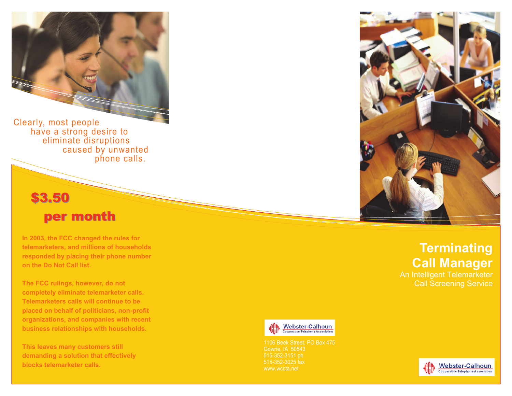

Clearly, most people have a strong desire to eliminate disruptions caused by unwanted phone calls.

### \$3.50

## per month

**In 2003, the FCC changed the rules for telemarketers, and millions of households responded by placing their phone number on the Do Not Call list.**

**The FCC rulings, however, do not completely eliminate telemarketer calls. Telemarketers calls will continue to be placed on behalf of politicians, non -profit organizations, and companies with recent business relationships with households.**

**This leaves many customers still demanding a solution that effectively blocks telemarketer calls.**



## **Terminating Call Manager**

An Intelligent Telemarketer



1106 Beek Street, PO Box 475 Gowrie, IA 50543 515 -352 -3025 fax